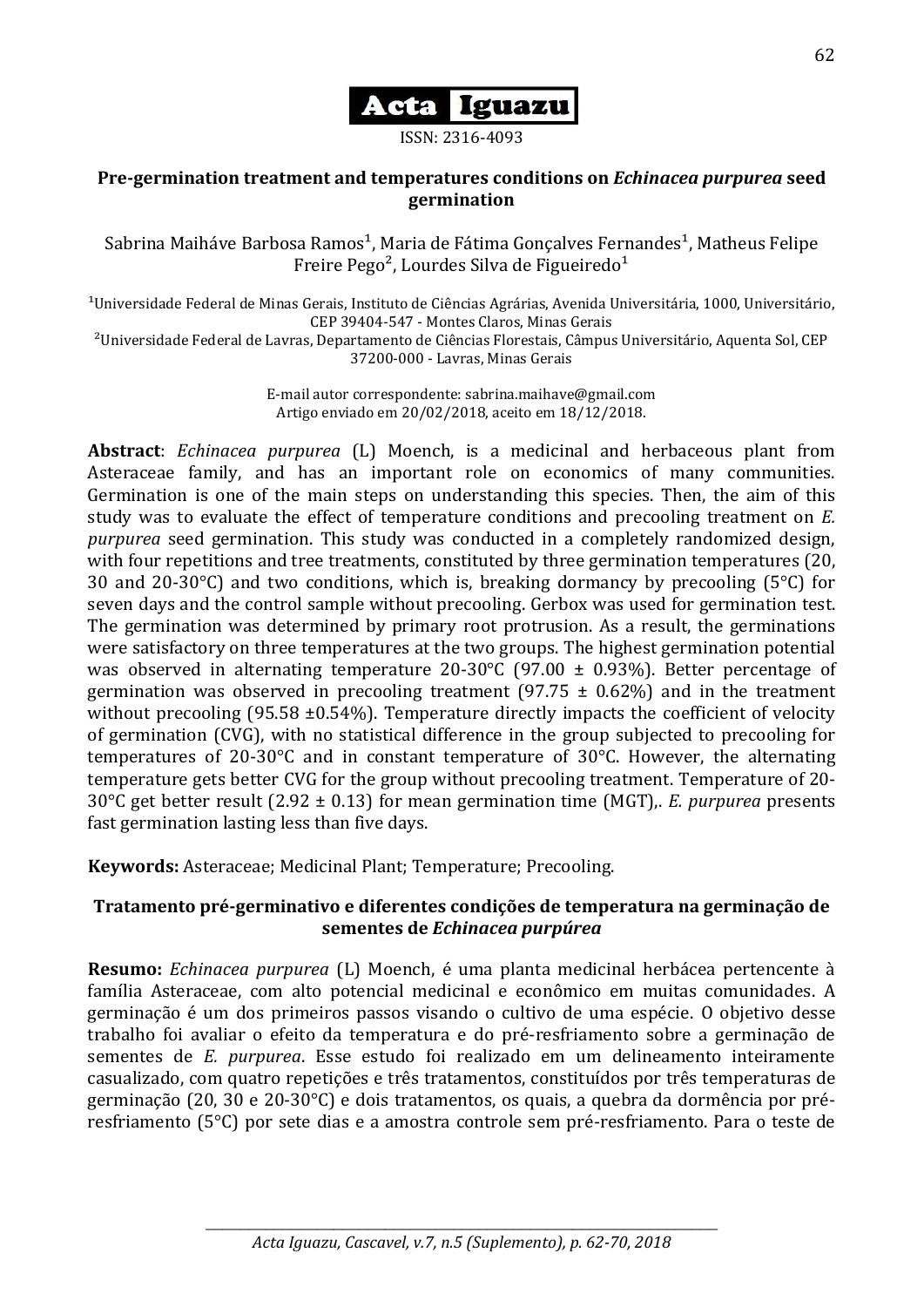

#### ISSN: 2316-4093

## **Pre-germination treatment and temperatures conditions on** *Echinacea purpurea* **seed germination**

Sabrina Maiháve Barbosa Ramos<sup>1</sup>, Maria de Fátima Gonçalves Fernandes<sup>1</sup>, Matheus Felipe Freire Pego<sup>2</sup>, Lourdes Silva de Figueiredo<sup>1</sup>

 $10$ niversidade Federal de Minas Gerais, Instituto de Ciências Agrárias, Avenida Universitária, 1000, Universitário, CEP 39404-547 - Montes Claros, Minas Gerais

²Universidade Federal de Lavras, Departamento de Ciências Florestais, Câmpus Universitário, Aquenta Sol, CEP 37200-000 - Lavras, Minas Gerais

> E-mail autor correspondente: sabrina.maihave@gmail.com Artigo enviado em 20/02/2018, aceito em 18/12/2018.

**Abstract**: *Echinacea purpurea* (L) Moench, is a medicinal and herbaceous plant from Asteraceae family, and has an important role on economics of many communities. Germination is one of the main steps on understanding this species. Then, the aim of this study was to evaluate the effect of temperature conditions and precooling treatment on *E. purpurea* seed germination. This study was conducted in a completely randomized design, with four repetitions and tree treatments, constituted by three germination temperatures (20, 30 and 20-30 $^{\circ}$ C) and two conditions, which is, breaking dormancy by precooling (5 $^{\circ}$ C) for seven days and the control sample without precooling. Gerbox was used for germination test. The germination was determined by primary root protrusion. As a result, the germinations were satisfactory on three temperatures at the two groups. The highest germination potential was observed in alternating temperature 20-30°C (97.00 ± 0.93%). Better percentage of germination was observed in precooling treatment (97.75  $\pm$  0.62%) and in the treatment without precooling (95.58  $\pm$ 0.54%). Temperature directly impacts the coefficient of velocity of germination (CVG), with no statistical difference in the group subjected to precooling for temperatures of 20-30°C and in constant temperature of 30°C. However, the alternating temperature gets better CVG for the group without precooling treatment. Temperature of 20- 30°C get better result (2.92 ± 0.13) for mean germination time (MGT),. *E. purpurea* presents fast germination lasting less than five days.

**Keywords:** Asteraceae; Medicinal Plant; Temperature; Precooling.

## **Tratamento pré-germinativo e diferentes condições de temperatura na germinação de sementes de** *Echinacea purpúrea*

**Resumo:** *Echinacea purpurea* (L) Moench, é uma planta medicinal herbácea pertencente à família Asteraceae, com alto potencial medicinal e econômico em muitas comunidades. A germinação é um dos primeiros passos visando o cultivo de uma espécie. O objetivo desse trabalho foi avaliar o efeito da temperatura e do pré-resfriamento sobre a germinação de sementes de *E. purpurea*. Esse estudo foi realizado em um delineamento inteiramente casualizado, com quatro repetições e três tratamentos, constituídos por três temperaturas de germinação (20, 30 e 20-30°C) e dois tratamentos, os quais, a quebra da dormência por préresfriamento (5°C) por sete dias e a amostra controle sem pré-resfriamento. Para o teste de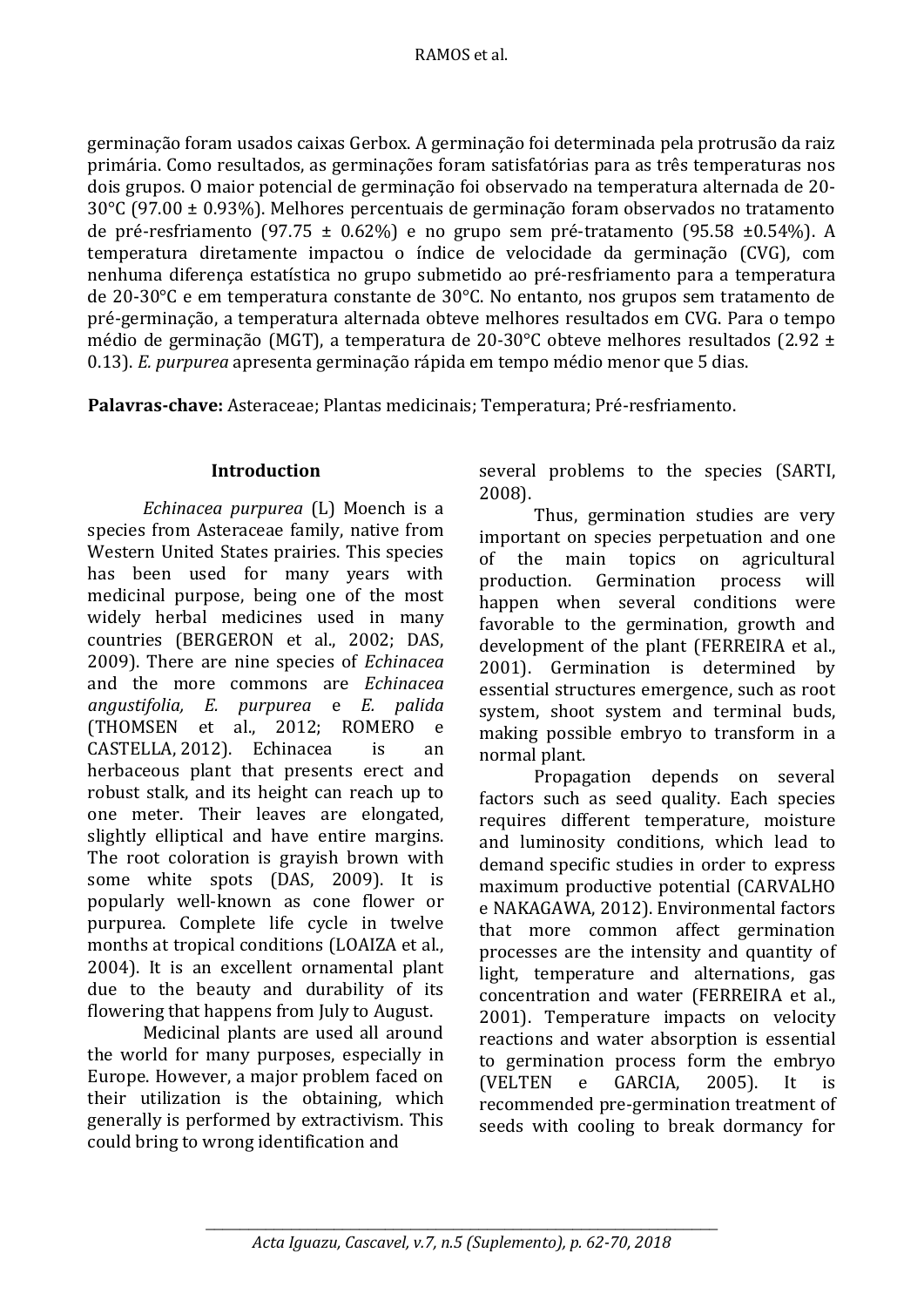#### RAMOS et al.

germinação foram usados caixas Gerbox. A germinação foi determinada pela protrusão da raiz primária. Como resultados, as germinações foram satisfatórias para as três temperaturas nos dois grupos. O maior potencial de germinação foi observado na temperatura alternada de 20- 30°C (97.00 ± 0.93%). Melhores percentuais de germinação foram observados no tratamento de pré-resfriamento (97.75 ± 0.62%) e no grupo sem pré-tratamento (95.58 ±0.54%). A temperatura diretamente impactou o índice de velocidade da germinação (CVG), com nenhuma diferença estatística no grupo submetido ao pré-resfriamento para a temperatura de 20-30°C e em temperatura constante de 30°C. No entanto, nos grupos sem tratamento de pré-germinação, a temperatura alternada obteve melhores resultados em CVG. Para o tempo médio de germinação (MGT), a temperatura de 20-30°C obteve melhores resultados (2.92 ± 0.13). *E. purpurea* apresenta germinação rápida em tempo médio menor que 5 dias.

**Palavras-chave:** Asteraceae; Plantas medicinais; Temperatura; Pré-resfriamento.

### **Introduction**

*Echinacea purpurea* (L) Moench is a species from Asteraceae family, native from Western United States prairies. This species has been used for many years with medicinal purpose, being one of the most widely herbal medicines used in many countries (BERGERON et al., 2002; DAS, 2009). There are nine species of *Echinacea* and the more commons are *Echinacea angustifolia, E. purpurea* e *E. palida* (THOMSEN et al., 2012; ROMERO e CASTELLA, 2012). Echinacea is an herbaceous plant that presents erect and robust stalk, and its height can reach up to one meter. Their leaves are elongated, slightly elliptical and have entire margins. The root coloration is grayish brown with some white spots (DAS, 2009). It is popularly well-known as cone flower or purpurea. Complete life cycle in twelve months at tropical conditions (LOAIZA et al., 2004). It is an excellent ornamental plant due to the beauty and durability of its flowering that happens from July to August.

Medicinal plants are used all around the world for many purposes, especially in Europe. However, a major problem faced on their utilization is the obtaining, which generally is performed by extractivism. This could bring to wrong identification and

several problems to the species (SARTI, 2008).

Thus, germination studies are very important on species perpetuation and one of the main topics on agricultural production. Germination process will happen when several conditions were favorable to the germination, growth and development of the plant (FERREIRA et al., 2001). Germination is determined by essential structures emergence, such as root system, shoot system and terminal buds, making possible embryo to transform in a normal plant.

Propagation depends on several factors such as seed quality. Each species requires different temperature, moisture and luminosity conditions, which lead to demand specific studies in order to express maximum productive potential (CARVALHO e NAKAGAWA, 2012). Environmental factors that more common affect germination processes are the intensity and quantity of light, temperature and alternations, gas concentration and water (FERREIRA et al., 2001). Temperature impacts on velocity reactions and water absorption is essential to germination process form the embryo (VELTEN e GARCIA, 2005). It is recommended pre-germination treatment of seeds with cooling to break dormancy for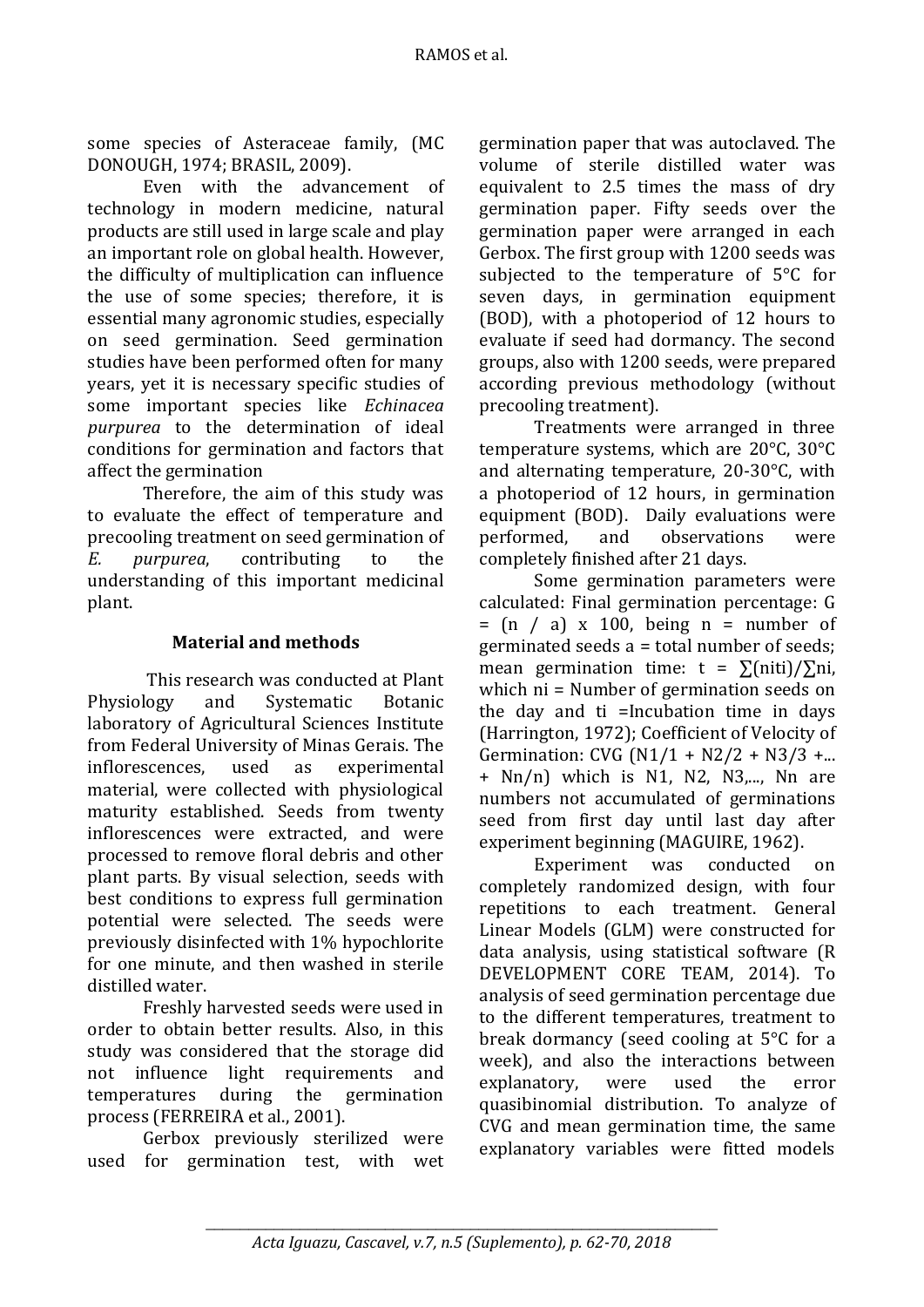some species of Asteraceae family, (MC DONOUGH, 1974; BRASIL, 2009).

Even with the advancement of technology in modern medicine, natural products are still used in large scale and play an important role on global health. However, the difficulty of multiplication can influence the use of some species; therefore, it is essential many agronomic studies, especially on seed germination. Seed germination studies have been performed often for many years, yet it is necessary specific studies of some important species like *Echinacea purpurea* to the determination of ideal conditions for germination and factors that affect the germination

Therefore, the aim of this study was to evaluate the effect of temperature and precooling treatment on seed germination of *E. purpurea*, contributing to the understanding of this important medicinal plant.

# **Material and methods**

This research was conducted at Plant Physiology and Systematic Botanic laboratory of Agricultural Sciences Institute from Federal University of Minas Gerais. The inflorescences, used as experimental material, were collected with physiological maturity established. Seeds from twenty inflorescences were extracted, and were processed to remove floral debris and other plant parts. By visual selection, seeds with best conditions to express full germination potential were selected. The seeds were previously disinfected with 1% hypochlorite for one minute, and then washed in sterile distilled water.

Freshly harvested seeds were used in order to obtain better results. Also, in this study was considered that the storage did not influence light requirements and temperatures during the germination process (FERREIRA et al., 2001).

Gerbox previously sterilized were used for germination test, with wet germination paper that was autoclaved. The volume of sterile distilled water was equivalent to 2.5 times the mass of dry germination paper. Fifty seeds over the germination paper were arranged in each Gerbox. The first group with 1200 seeds was subjected to the temperature of 5°C for seven days, in germination equipment (BOD), with a photoperiod of 12 hours to evaluate if seed had dormancy. The second groups, also with 1200 seeds, were prepared according previous methodology (without precooling treatment).

Treatments were arranged in three temperature systems, which are 20°C, 30°C and alternating temperature, 20-30°C, with a photoperiod of 12 hours, in germination equipment (BOD). Daily evaluations were performed, and observations were completely finished after 21 days.

Some germination parameters were calculated: Final germination percentage: G  $=$  (n / a) x 100, being n = number of germinated seeds a = total number of seeds; mean germination time:  $t = \sum (niti)/\sum ni$ , which ni = Number of germination seeds on the day and ti =Incubation time in days (Harrington, 1972); Coefficient of Velocity of Germination: CVG ( $N1/1 + N2/2 + N3/3 + ...$  $+$  Nn/n) which is N1, N2, N3,..., Nn are numbers not accumulated of germinations seed from first day until last day after experiment beginning (MAGUIRE, 1962).

Experiment was conducted on completely randomized design, with four repetitions to each treatment. General Linear Models (GLM) were constructed for data analysis, using statistical software (R DEVELOPMENT CORE TEAM, 2014). To analysis of seed germination percentage due to the different temperatures, treatment to break dormancy (seed cooling at 5°C for a week), and also the interactions between explanatory, were used the error quasibinomial distribution. To analyze of CVG and mean germination time, the same explanatory variables were fitted models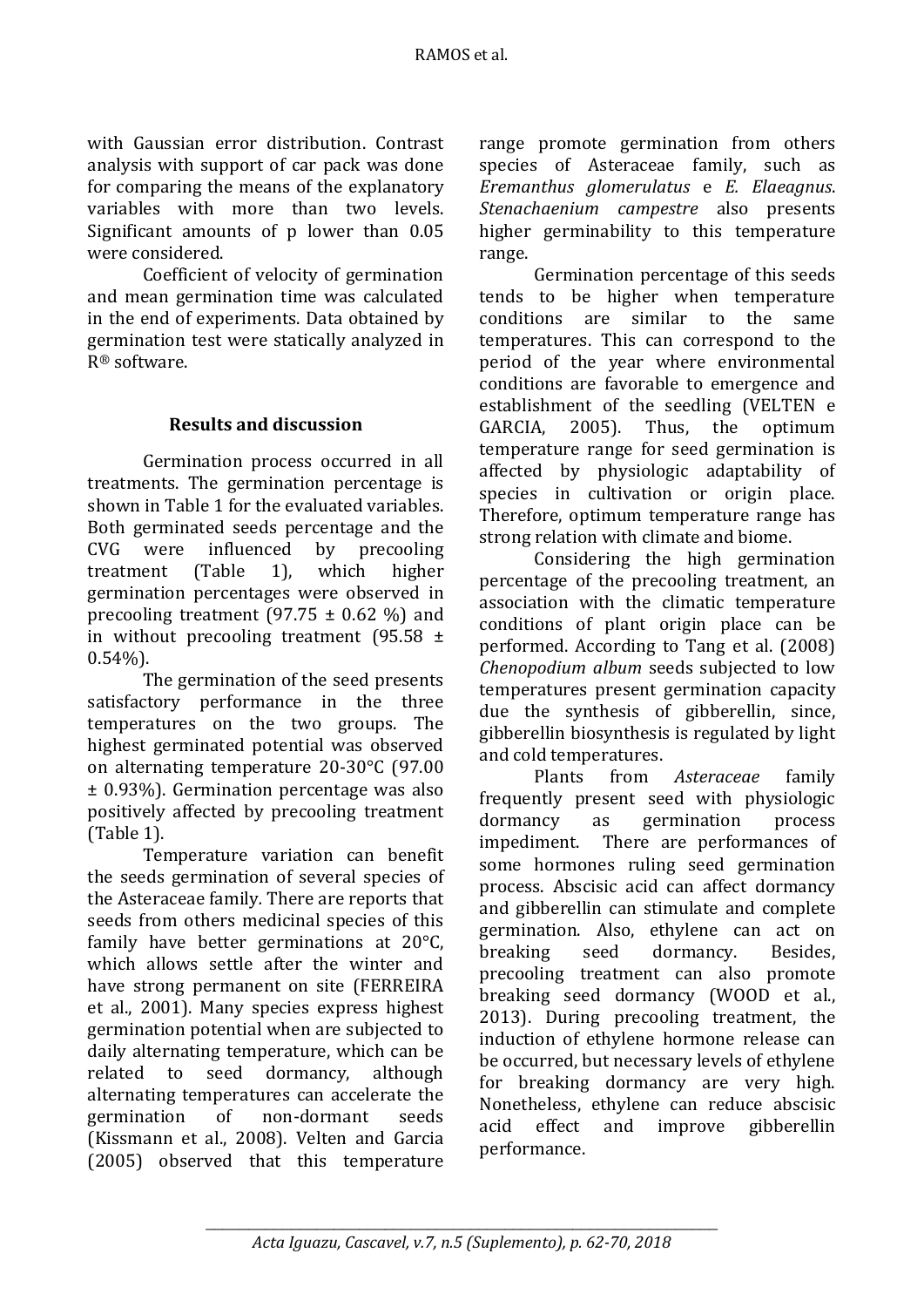with Gaussian error distribution. Contrast analysis with support of car pack was done for comparing the means of the explanatory variables with more than two levels. Significant amounts of p lower than 0.05 were considered.

Coefficient of velocity of germination and mean germination time was calculated in the end of experiments. Data obtained by germination test were statically analyzed in R® software.

## **Results and discussion**

Germination process occurred in all treatments. The germination percentage is shown in Table 1 for the evaluated variables. Both germinated seeds percentage and the CVG were influenced by precooling treatment (Table 1), which higher germination percentages were observed in precooling treatment  $(97.75 \pm 0.62 \%)$  and in without precooling treatment (95.58  $\pm$ 0.54%).

The germination of the seed presents satisfactory performance in the three temperatures on the two groups. The highest germinated potential was observed on alternating temperature 20-30°C (97.00 ± 0.93%). Germination percentage was also positively affected by precooling treatment (Table 1).

Temperature variation can benefit the seeds germination of several species of the Asteraceae family*.* There are reports that seeds from others medicinal species of this family have better germinations at 20°C, which allows settle after the winter and have strong permanent on site (FERREIRA et al., 2001). Many species express highest germination potential when are subjected to daily alternating temperature, which can be related to seed dormancy, although alternating temperatures can accelerate the germination of non-dormant seeds (Kissmann et al., 2008). Velten and Garcia (2005) observed that this temperature

range promote germination from others species of Asteraceae family, such as *Eremanthus glomerulatus* e *E. Elaeagnus*. *Stenachaenium campestre* also presents higher germinability to this temperature range.

Germination percentage of this seeds tends to be higher when temperature conditions are similar to the same temperatures. This can correspond to the period of the year where environmental conditions are favorable to emergence and establishment of the seedling (VELTEN e GARCIA, 2005). Thus, the optimum temperature range for seed germination is affected by physiologic adaptability of species in cultivation or origin place. Therefore, optimum temperature range has strong relation with climate and biome.

Considering the high germination percentage of the precooling treatment, an association with the climatic temperature conditions of plant origin place can be performed. According to Tang et al. (2008) *Chenopodium album* seeds subjected to low temperatures present germination capacity due the synthesis of gibberellin, since, gibberellin biosynthesis is regulated by light and cold temperatures.

Plants from *Asteraceae* family frequently present seed with physiologic dormancy as germination process impediment. There are performances of some hormones ruling seed germination process. Abscisic acid can affect dormancy and gibberellin can stimulate and complete germination. Also, ethylene can act on breaking seed dormancy. Besides, precooling treatment can also promote breaking seed dormancy (WOOD et al., 2013). During precooling treatment, the induction of ethylene hormone release can be occurred, but necessary levels of ethylene for breaking dormancy are very high. Nonetheless, ethylene can reduce abscisic acid effect and improve gibberellin performance.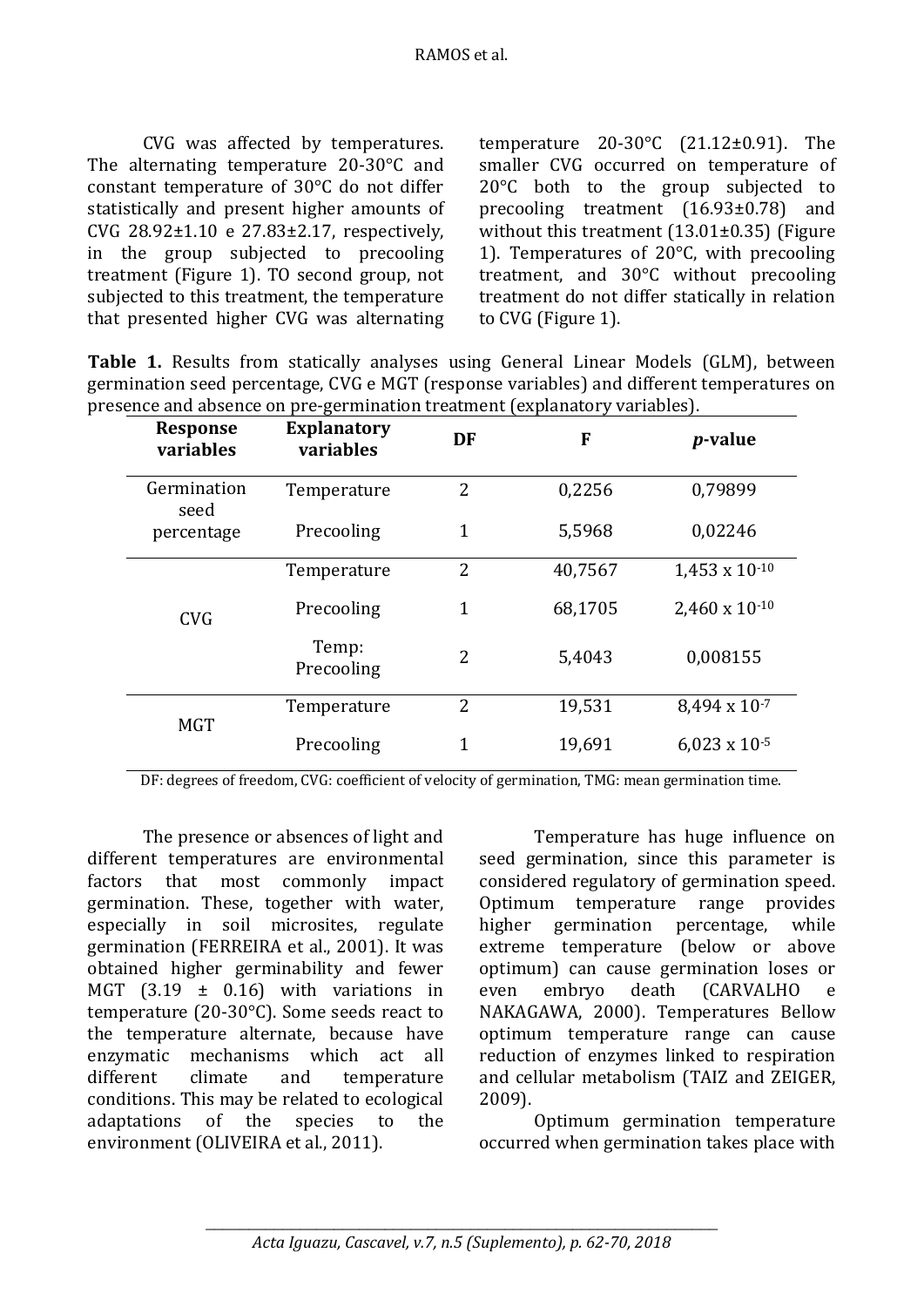CVG was affected by temperatures. The alternating temperature 20-30°C and constant temperature of 30°C do not differ statistically and present higher amounts of CVG 28.92±1.10 e 27.83±2.17, respectively, in the group subjected to precooling treatment (Figure 1). TO second group, not subjected to this treatment, the temperature that presented higher CVG was alternating temperature 20-30°C (21.12±0.91). The smaller CVG occurred on temperature of 20°C both to the group subjected to precooling treatment (16.93±0.78) and without this treatment (13.01±0.35) (Figure 1). Temperatures of 20°C, with precooling treatment, and 30°C without precooling treatment do not differ statically in relation to CVG (Figure 1).

**Table 1.** Results from statically analyses using General Linear Models (GLM), between germination seed percentage, CVG e MGT (response variables) and different temperatures on presence and absence on pre-germination treatment (explanatory variables).

| <b>Response</b><br>variables      | <b>Explanatory</b><br>variables | DF             | F       | <i>p</i> -value         |
|-----------------------------------|---------------------------------|----------------|---------|-------------------------|
| Germination<br>seed<br>percentage | Temperature                     | $\overline{2}$ | 0,2256  | 0,79899                 |
|                                   | Precooling                      | $\mathbf{1}$   | 5,5968  | 0,02246                 |
| <b>CVG</b>                        | Temperature                     | 2              | 40,7567 | $1.453 \times 10^{-10}$ |
|                                   | Precooling                      | 1              | 68,1705 | 2,460 x 10-10           |
|                                   | Temp:<br>Precooling             | 2              | 5,4043  | 0,008155                |
| <b>MGT</b>                        | Temperature                     | $\overline{2}$ | 19,531  | 8,494 x 10-7            |
|                                   | Precooling                      | 1              | 19,691  | $6,023 \times 10^{-5}$  |

DF: degrees of freedom, CVG: coefficient of velocity of germination, TMG: mean germination time.

The presence or absences of light and different temperatures are environmental factors that most commonly impact germination. These, together with water, especially in soil microsites, regulate germination (FERREIRA et al., 2001). It was obtained higher germinability and fewer MGT  $(3.19 \pm 0.16)$  with variations in temperature (20-30°C). Some seeds react to the temperature alternate, because have enzymatic mechanisms which act all different climate and temperature conditions. This may be related to ecological adaptations of the species to the environment (OLIVEIRA et al., 2011).

Temperature has huge influence on seed germination, since this parameter is considered regulatory of germination speed. Optimum temperature range provides higher germination percentage, while extreme temperature (below or above optimum) can cause germination loses or even embryo death (CARVALHO e NAKAGAWA, 2000). Temperatures Bellow optimum temperature range can cause reduction of enzymes linked to respiration and cellular metabolism (TAIZ and ZEIGER, 2009).

Optimum germination temperature occurred when germination takes place with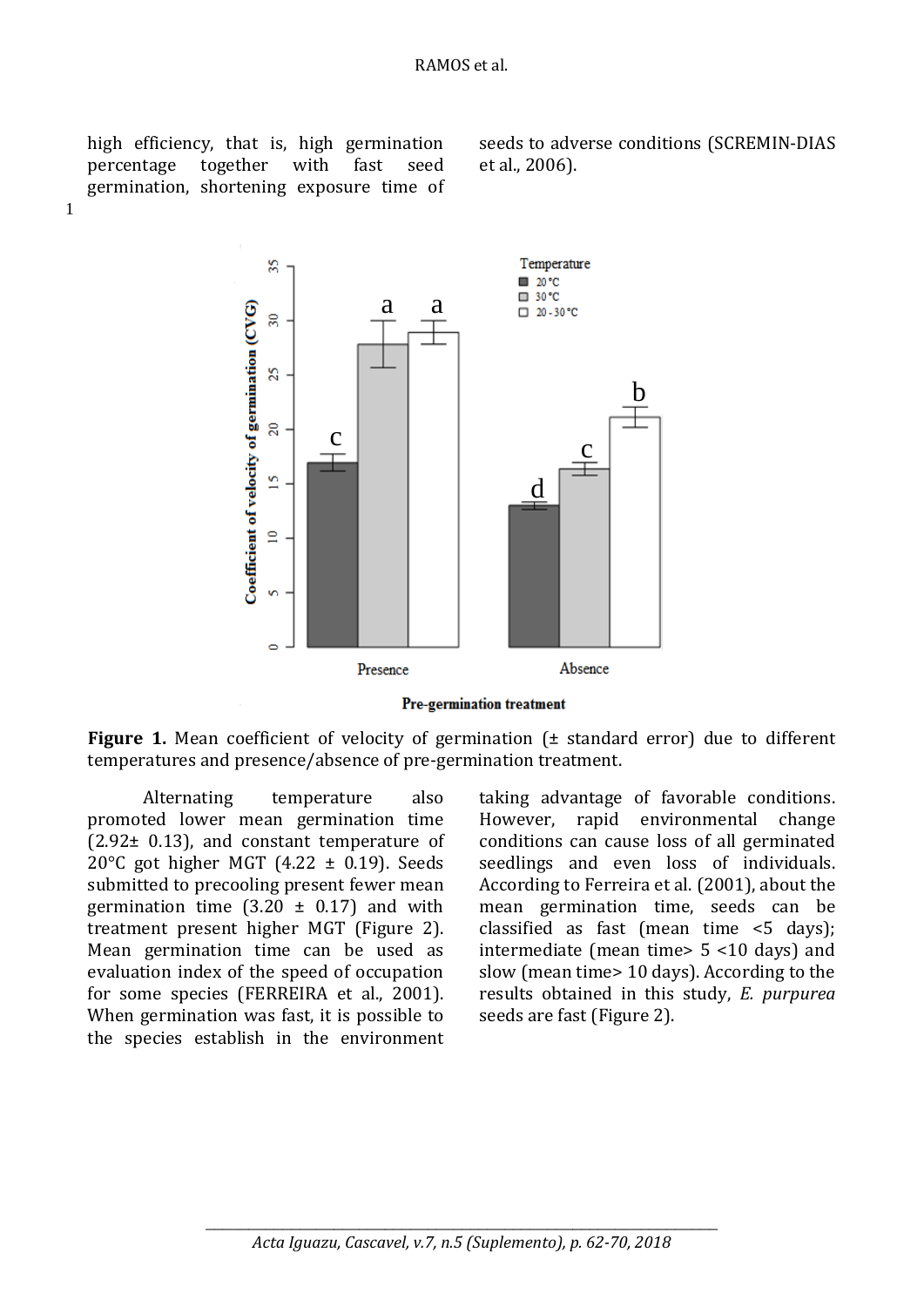high efficiency, that is, high germination percentage together with fast seed germination, shortening exposure time of

1

seeds to adverse conditions (SCREMIN-DIAS et al., 2006).



**Pre-germination treatment** 

**Figure 1.** Mean coefficient of velocity of germination ( $\pm$  standard error) due to different temperatures and presence/absence of pre-germination treatment.

Alternating temperature also promoted lower mean germination time  $(2.92 \pm 0.13)$ , and constant temperature of 20 $^{\circ}$ C got higher MGT (4.22  $\pm$  0.19). Seeds submitted to precooling present fewer mean germination time  $(3.20 \pm 0.17)$  and with treatment present higher MGT (Figure 2). Mean germination time can be used as evaluation index of the speed of occupation for some species (FERREIRA et al., 2001). When germination was fast, it is possible to the species establish in the environment

taking advantage of favorable conditions. However, rapid environmental change conditions can cause loss of all germinated seedlings and even loss of individuals. According to Ferreira et al. (2001), about the mean germination time, seeds can be classified as fast (mean time <5 days); intermediate (mean time> 5 <10 days) and slow (mean time> 10 days). According to the results obtained in this study, *E. purpurea* seeds are fast (Figure 2).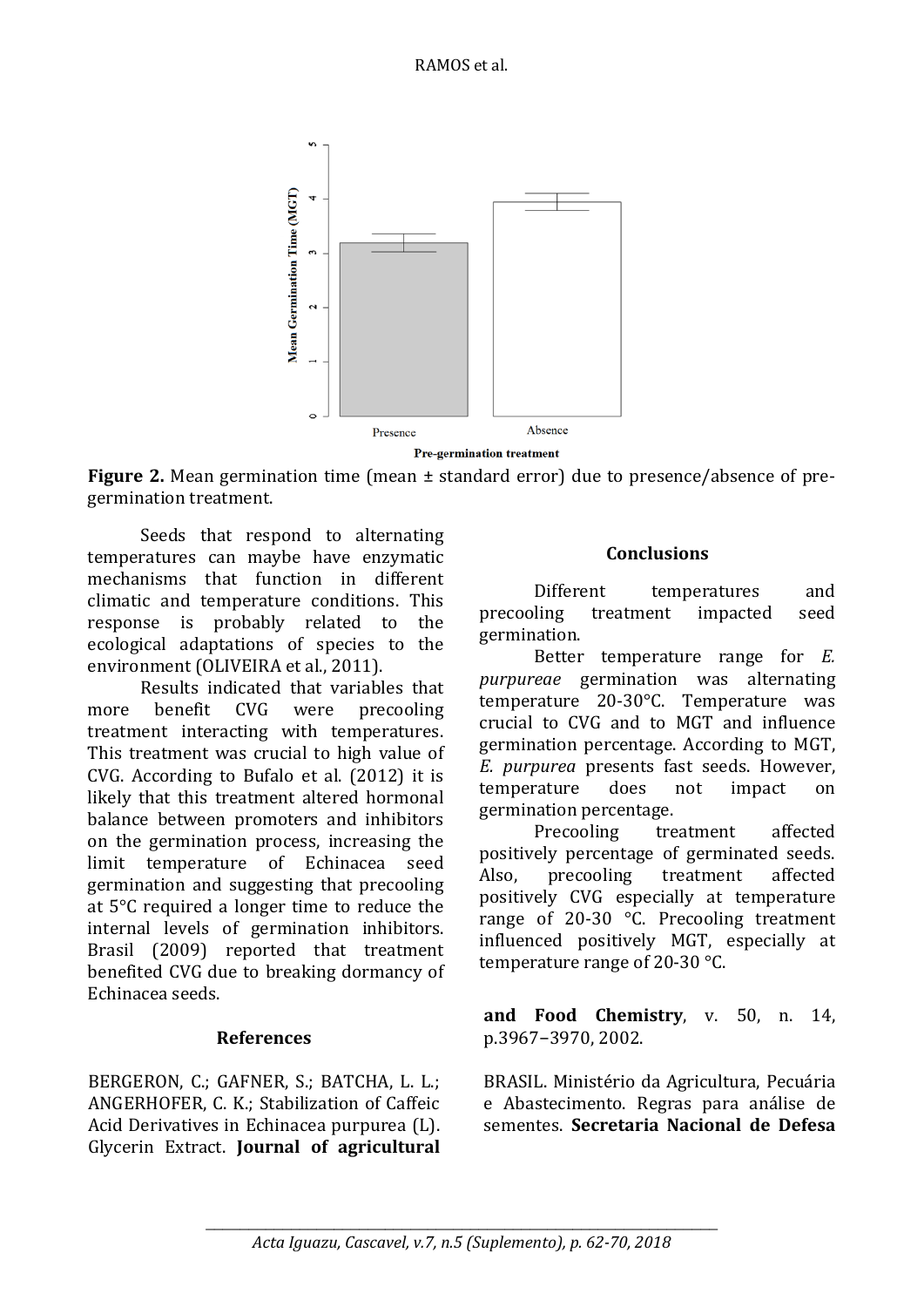

**Figure 2.** Mean germination time (mean  $\pm$  standard error) due to presence/absence of pregermination treatment.

Seeds that respond to alternating temperatures can maybe have enzymatic mechanisms that function in different climatic and temperature conditions. This response is probably related to the ecological adaptations of species to the environment (OLIVEIRA et al., 2011).

Results indicated that variables that more benefit CVG were precooling treatment interacting with temperatures. This treatment was crucial to high value of CVG. According to Bufalo et al. (2012) it is likely that this treatment altered hormonal balance between promoters and inhibitors on the germination process, increasing the limit temperature of Echinacea seed germination and suggesting that precooling at 5°C required a longer time to reduce the internal levels of germination inhibitors. Brasil (2009) reported that treatment benefited CVG due to breaking dormancy of Echinacea seeds.

#### **References**

BERGERON, C.; GAFNER, S.; BATCHA, L. L.; ANGERHOFER, C. K.; Stabilization of Caffeic Acid Derivatives in Echinacea purpurea (L). Glycerin Extract. **Journal of agricultural** 

#### **Conclusions**

Different temperatures and precooling treatment impacted seed germination.

Better temperature range for *E. purpureae* germination was alternating temperature 20-30°C. Temperature was crucial to CVG and to MGT and influence germination percentage. According to MGT, *E. purpurea* presents fast seeds. However, temperature does not impact on germination percentage.

Precooling treatment affected positively percentage of germinated seeds. Also, precooling treatment affected positively CVG especially at temperature range of 20-30 °C. Precooling treatment influenced positively MGT, especially at temperature range of 20-30 °C.

**and Food Chemistry**, v. 50, n. 14, p.3967−3970, 2002.

BRASIL. Ministério da Agricultura, Pecuária e Abastecimento. Regras para análise de sementes. **Secretaria Nacional de Defesa**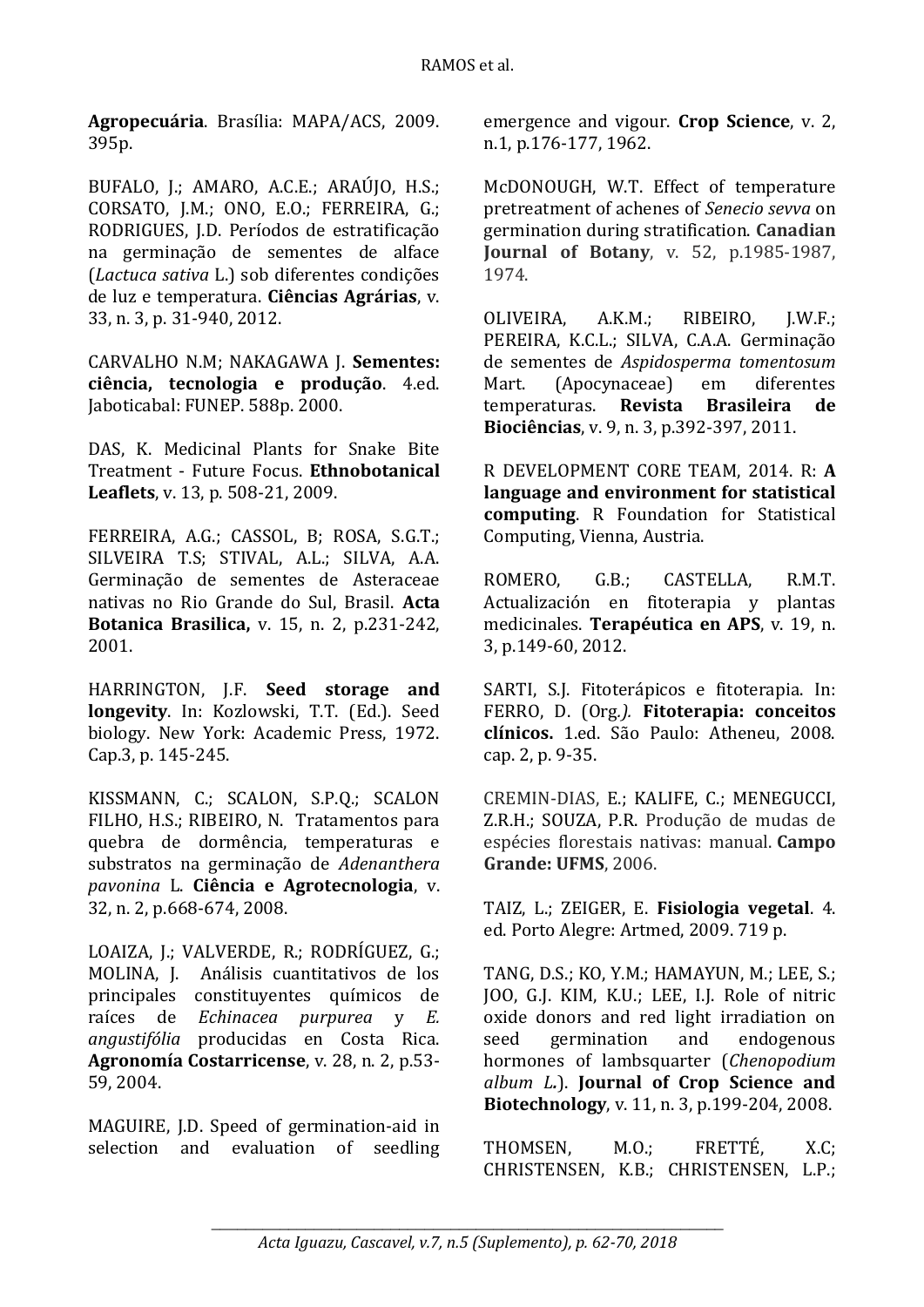**Agropecuária**. Brasília: MAPA/ACS, 2009. 395p.

BUFALO, J.; AMARO, A.C.E.; ARAÚJO, H.S.; CORSATO, J.M.; ONO, E.O.; FERREIRA, G.; RODRIGUES, J.D. Períodos de estratificação na germinação de sementes de alface (*Lactuca sativa* L.) sob diferentes condições de luz e temperatura. **Ciências Agrárias**, v. 33, n. 3, p. 31-940, 2012.

CARVALHO N.M; NAKAGAWA J. **Sementes: ciência, tecnologia e produção**. 4.ed. Jaboticabal: FUNEP. 588p. 2000.

DAS, K. Medicinal Plants for Snake Bite Treatment - Future Focus. **Ethnobotanical Leaflets**, v. 13, p. 508-21, 2009.

FERREIRA, A.G.; CASSOL, B; ROSA, S.G.T.; SILVEIRA T.S; STIVAL, A.L.; SILVA, A.A. Germinação de sementes de Asteraceae nativas no Rio Grande do Sul, Brasil. **Acta Botanica Brasilica,** v. 15, n. 2, p.231-242, 2001.

HARRINGTON, J.F. **Seed storage and longevity**. In: Kozlowski, T.T. (Ed.). Seed biology. New York: Academic Press, 1972. Cap.3, p. 145-245.

KISSMANN, C.; SCALON, S.P.Q.; SCALON FILHO, H.S.; RIBEIRO, N. Tratamentos para quebra de dormência, temperaturas e substratos na germinação de *Adenanthera pavonina* L. **Ciência e Agrotecnologia**, v. 32, n. 2, p.668-674, 2008.

LOAIZA, J.; VALVERDE, R.; RODRÍGUEZ, G.; MOLINA, J. Análisis cuantitativos de los principales constituyentes químicos de raíces de *Echinacea purpurea* y *E. angustifólia* producidas en Costa Rica. **Agronomía Costarricense**, v. 28, n. 2, p.53- 59, 2004.

MAGUIRE, J.D. Speed of germination-aid in selection and evaluation of seedling

emergence and vigour. **Crop Science**, v. 2, n.1, p.176-177, 1962.

McDONOUGH, W.T. Effect of temperature pretreatment of achenes of *Senecio sevva* on germination during stratification. **Canadian Journal of Botany**, v. 52, p.1985-1987, 1974.

OLIVEIRA, A.K.M.; RIBEIRO, J.W.F.; PEREIRA, K.C.L.; SILVA, C.A.A. Germinação de sementes de *Aspidosperma tomentosum* Mart. (Apocynaceae) em diferentes temperaturas. **Revista Brasileira de Biociências**, v. 9, n. 3, p.392-397, 2011.

R DEVELOPMENT CORE TEAM, 2014. R: **A language and environment for statistical computing**. R Foundation for Statistical Computing, Vienna, Austria.

ROMERO, G.B.; CASTELLA, R.M.T. Actualización en fitoterapia y plantas medicinales. **Terapéutica en APS**, v. 19, n. 3, p.149-60, 2012.

SARTI, S.J. Fitoterápicos e fitoterapia. In: FERRO, D. (Org*.).* **Fitoterapia: conceitos clínicos.** 1.ed. São Paulo: Atheneu, 2008. cap. 2, p. 9-35.

CREMIN-DIAS, E.; KALIFE, C.; MENEGUCCI, Z.R.H.; SOUZA, P.R. Produção de mudas de espécies florestais nativas: manual. **Campo Grande: UFMS**, 2006.

TAIZ, L.; ZEIGER, E. **Fisiologia vegetal**. 4. ed. Porto Alegre: Artmed, 2009. 719 p.

TANG, D.S.; KO, Y.M.; HAMAYUN, M.; LEE, S.; JOO, G.J. KIM, K.U.; LEE, I.J. Role of nitric oxide donors and red light irradiation on seed germination and endogenous hormones of lambsquarter (*Chenopodium album L.*). **Journal of Crop Science and Biotechnology**, v. 11, n. 3, p.199-204, 2008.

THOMSEN, M.O.; FRETTÉ, X.C; CHRISTENSEN, K.B.; CHRISTENSEN, L.P.;